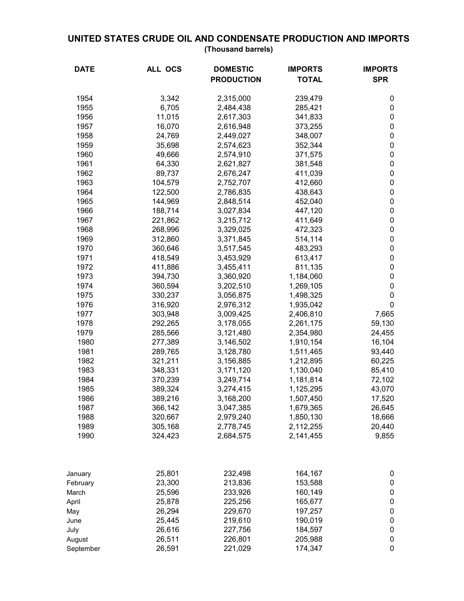## **UNITED STATES CRUDE OIL AND CONDENSATE PRODUCTION AND IMPORTS (Thousand barrels)**

| <b>DATE</b> | ALL OCS | <b>DOMESTIC</b><br><b>PRODUCTION</b> | <b>IMPORTS</b><br><b>TOTAL</b> | <b>IMPORTS</b><br><b>SPR</b> |
|-------------|---------|--------------------------------------|--------------------------------|------------------------------|
|             |         |                                      |                                |                              |
| 1954        | 3,342   | 2,315,000                            | 239,479                        | 0                            |
| 1955        | 6,705   | 2,484,438                            | 285,421                        | 0                            |
| 1956        | 11,015  | 2,617,303                            | 341,833                        | 0                            |
| 1957        | 16,070  | 2,616,948                            | 373,255                        | 0                            |
| 1958        | 24,769  | 2,449,027                            | 348,007                        | $\pmb{0}$                    |
| 1959        | 35,698  | 2,574,623                            | 352,344                        | 0                            |
| 1960        | 49,666  | 2,574,910                            | 371,575                        | 0                            |
| 1961        | 64,330  | 2,621,827                            | 381,548                        | 0                            |
| 1962        | 89,737  | 2,676,247                            | 411,039                        | 0                            |
| 1963        | 104,579 | 2,752,707                            | 412,660                        | 0                            |
| 1964        | 122,500 | 2,786,835                            | 438,643                        | 0                            |
| 1965        | 144,969 | 2,848,514                            | 452,040                        | 0                            |
| 1966        | 188,714 | 3,027,834                            | 447,120                        | 0                            |
| 1967        | 221,862 | 3,215,712                            | 411,649                        | $\pmb{0}$                    |
| 1968        | 268,996 | 3,329,025                            | 472,323                        | $\pmb{0}$                    |
| 1969        | 312,860 | 3,371,845                            | 514,114                        | 0                            |
| 1970        | 360,646 | 3,517,545                            | 483,293                        | 0                            |
| 1971        | 418,549 | 3,453,929                            | 613,417                        | $\pmb{0}$                    |
| 1972        | 411,886 | 3,455,411                            | 811,135                        | $\pmb{0}$                    |
| 1973        | 394,730 | 3,360,920                            | 1,184,060                      | 0                            |
| 1974        | 360,594 | 3,202,510                            | 1,269,105                      | 0                            |
| 1975        | 330,237 | 3,056,875                            | 1,498,325                      | 0                            |
| 1976        | 316,920 | 2,976,312                            | 1,935,042                      | 0                            |
| 1977        | 303,948 | 3,009,425                            | 2,406,810                      | 7,665                        |
| 1978        | 292,265 | 3,178,055                            | 2,261,175                      | 59,130                       |
| 1979        | 285,566 | 3,121,480                            | 2,354,980                      | 24,455                       |
| 1980        | 277,389 | 3,146,502                            | 1,910,154                      | 16,104                       |
| 1981        | 289,765 | 3,128,780                            | 1,511,465                      | 93,440                       |
| 1982        | 321,211 | 3,156,885                            | 1,212,895                      | 60,225                       |
| 1983        | 348,331 | 3,171,120                            | 1,130,040                      | 85,410                       |
| 1984        | 370,239 | 3,249,714                            | 1,181,814                      | 72,102                       |
| 1985        | 389,324 | 3,274,415                            | 1,125,295                      | 43,070                       |
| 1986        | 389,216 | 3,168,200                            | 1,507,450                      | 17,520                       |
| 1987        | 366,142 | 3,047,385                            | 1,679,365                      | 26,645                       |
| 1988        | 320,667 | 2,979,240                            | 1,850,130                      | 18,666                       |
| 1989        | 305,168 | 2,778,745                            | 2,112,255                      | 20,440                       |
| 1990        | 324,423 | 2,684,575                            | 2,141,455                      | 9,855                        |
|             |         |                                      |                                |                              |
| January     | 25,801  | 232,498                              | 164,167                        | 0                            |
| February    | 23,300  | 213,836                              | 153,588                        | 0                            |
| March       | 25,596  | 233,926                              | 160,149                        | 0                            |
| April       | 25,878  | 225,256                              | 165,677                        | 0                            |
| May         | 26,294  | 229,670                              | 197,257                        | 0                            |
| June        | 25,445  | 219,610                              | 190,019                        | 0                            |
| July        | 26,616  | 227,756                              | 184,597                        | 0                            |
| August      | 26,511  | 226,801                              | 205,988                        | 0                            |
| September   | 26,591  | 221,029                              | 174,347                        | 0                            |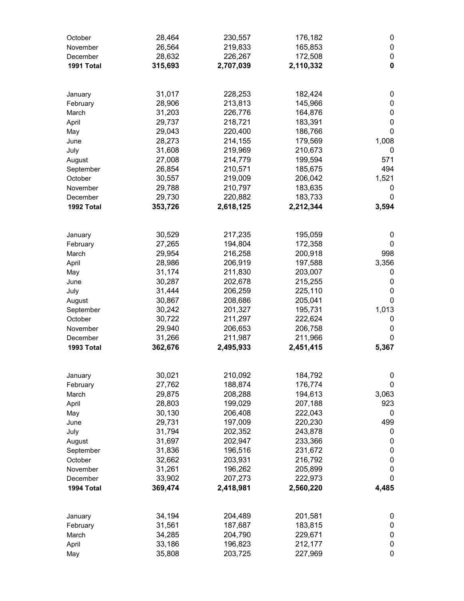| October<br>November    | 28,464<br>26,564  | 230,557<br>219,833   | 176,182<br>165,853   | 0<br>0      |
|------------------------|-------------------|----------------------|----------------------|-------------|
| December               | 28,632            | 226,267              | 172,508              | $\pmb{0}$   |
| 1991 Total             | 315,693           | 2,707,039            | 2,110,332            | $\mathbf 0$ |
| January                | 31,017            | 228,253              | 182,424              | 0           |
| February               | 28,906            | 213,813              | 145,966              | $\pmb{0}$   |
| March                  | 31,203            | 226,776              | 164,876              | $\pmb{0}$   |
| April                  | 29,737            | 218,721              | 183,391              | $\pmb{0}$   |
| May                    | 29,043            | 220,400              | 186,766              | 0           |
| June                   | 28,273            | 214,155              | 179,569              | 1,008       |
| July                   | 31,608            | 219,969              | 210,673              | $\pmb{0}$   |
| August<br>September    | 27,008<br>26,854  | 214,779<br>210,571   | 199,594<br>185,675   | 571<br>494  |
| October                | 30,557            | 219,009              | 206,042              | 1,521       |
| November               | 29,788            | 210,797              | 183,635              | 0           |
| December               | 29,730            | 220,882              | 183,733              | 0           |
| 1992 Total             | 353,726           | 2,618,125            | 2,212,344            | 3,594       |
|                        |                   |                      |                      |             |
| January                | 30,529            | 217,235              | 195,059              | 0           |
| February<br>March      | 27,265<br>29,954  | 194,804<br>216,258   | 172,358<br>200,918   | 0<br>998    |
| April                  | 28,986            | 206,919              | 197,588              | 3,356       |
| May                    | 31,174            | 211,830              | 203,007              | 0           |
| June                   | 30,287            | 202,678              | 215,255              | $\pmb{0}$   |
| July                   | 31,444            | 206,259              | 225,110              | $\pmb{0}$   |
| August                 | 30,867            | 208,686              | 205,041              | 0           |
| September              | 30,242            | 201,327              | 195,731              | 1,013       |
| October                | 30,722            | 211,297              | 222,624              | 0           |
| November               | 29,940            | 206,653              | 206,758              | $\pmb{0}$   |
| December<br>1993 Total | 31,266<br>362,676 | 211,987<br>2,495,933 | 211,966<br>2,451,415 | 0<br>5,367  |
|                        |                   |                      |                      |             |
| January                | 30,021            | 210,092              | 184,792              | 0           |
| February               | 27,762            | 188,874              | 176,774              | 0           |
| March                  | 29,875            | 208,288              | 194,613              | 3,063       |
| April                  | 28,803            | 199,029              | 207,188              | 923         |
| May                    | 30,130<br>29,731  | 206,408              | 222,043              | 0<br>499    |
| June<br>July           | 31,794            | 197,009<br>202,352   | 220,230<br>243,878   | 0           |
| August                 | 31,697            | 202,947              | 233,366              | $\pmb{0}$   |
| September              | 31,836            | 196,516              | 231,672              | $\pmb{0}$   |
| October                | 32,662            | 203,931              | 216,792              | $\pmb{0}$   |
| November               | 31,261            | 196,262              | 205,899              | $\pmb{0}$   |
| December               | 33,902            | 207,273              | 222,973              | 0           |
| 1994 Total             | 369,474           | 2,418,981            | 2,560,220            | 4,485       |
| January                | 34,194            | 204,489              | 201,581              | 0           |
| February               | 31,561            | 187,687              | 183,815              | 0           |
| March                  | 34,285            | 204,790              | 229,671              | 0           |
| April                  | 33,186            | 196,823              | 212,177              | $\pmb{0}$   |
| May                    | 35,808            | 203,725              | 227,969              | 0           |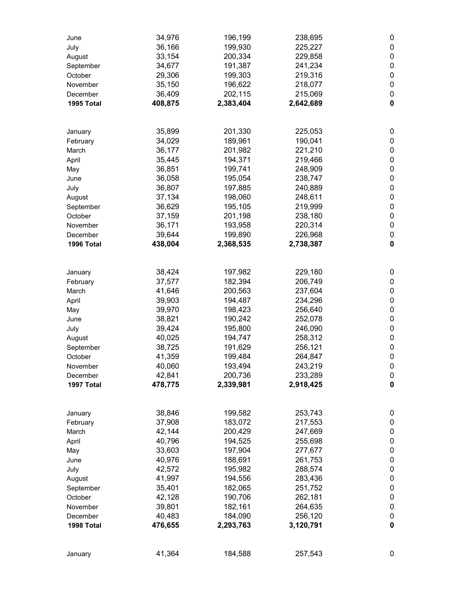| June                 | 34,976           | 196,199            | 238,695            | 0           |
|----------------------|------------------|--------------------|--------------------|-------------|
| July                 | 36,166           | 199,930            | 225,227            | 0           |
| August               | 33,154           | 200,334            | 229,858            | 0           |
| September            | 34,677           | 191,387            | 241,234            | 0           |
| October              | 29,306           | 199,303            | 219,316            | 0           |
| November             | 35,150           | 196,622            | 218,077            | 0           |
| December             | 36,409           | 202,115            | 215,069            | 0           |
| 1995 Total           | 408,875          | 2,383,404          | 2,642,689          | $\mathbf 0$ |
|                      |                  |                    |                    |             |
|                      |                  |                    |                    |             |
| January              | 35,899           | 201,330            | 225,053            | 0           |
| February             | 34,029           | 189,961            | 190,041            | 0           |
| March                | 36,177           | 201,982            | 221,210            | 0           |
| April                | 35,445           | 194,371            | 219,466            | 0           |
| May                  | 36,851           | 199,741            | 248,909            | 0           |
| June                 | 36,058           | 195,054            | 238,747            | 0           |
| July                 | 36,807           | 197,885            | 240,889            | 0           |
| August               | 37,134           | 198,060            | 248,611            | 0           |
| September            | 36,629           | 195,105            | 219,999            | 0           |
| October              | 37,159           | 201,198            | 238,180            | 0           |
| November             | 36,171           | 193,958            | 220,314            | 0           |
| December             | 39,644           | 199,890            | 226,968            | 0           |
| 1996 Total           | 438,004          | 2,368,535          | 2,738,387          | $\mathbf 0$ |
|                      |                  |                    |                    |             |
| January              | 38,424           | 197,982            | 229,180            | 0           |
| February             | 37,577           | 182,394            | 206,749            | 0           |
| March                | 41,646           | 200,563            | 237,604            | 0           |
| April                | 39,903           | 194,487            | 234,296            | 0           |
| May                  | 39,970           | 198,423            | 256,640            | 0           |
| June                 | 38,821           | 190,242            | 252,078            | 0           |
| July                 | 39,424           | 195,800            | 246,090            | 0<br>0      |
| August               | 40,025<br>38,725 | 194,747<br>191,629 | 258,312<br>256,121 | 0           |
| September<br>October | 41,359           | 199,484            | 264,847            | 0           |
| November             | 40,060           | 193,494            | 243,219            | $\mathbf 0$ |
| December             | 42,841           | 200,736            | 233,289            | 0           |
| 1997 Total           | 478,775          | 2,339,981          | 2,918,425          | 0           |
|                      |                  |                    |                    |             |
| January              | 38,846           | 199,582            | 253,743            | 0           |
| February             | 37,908           | 183,072            | 217,553            | 0           |
| March                | 42,144           | 200,429            | 247,669            | 0           |
| April                | 40,796           | 194,525            | 255,698            | 0           |
| May                  | 33,603           | 197,904            | 277,677            | 0           |
| June                 | 40,976           | 188,691            | 261,753            | 0           |
| July                 | 42,572           | 195,982            | 288,574            | 0           |
| August               | 41,997           | 194,556            | 283,436            | 0           |
| September            | 35,401           | 182,065            | 251,752            | $\pmb{0}$   |
| October              | 42,128           | 190,706            | 262,181            | $\pmb{0}$   |
| November             | 39,801           | 182,161            | 264,635            | 0           |
| December             | 40,483           | 184,090            | 256,120            | 0           |
| 1998 Total           | 476,655          | 2,293,763          | 3,120,791          | $\mathbf 0$ |
|                      |                  |                    |                    |             |
| January              | 41,364           | 184,588            | 257,543            | 0           |
|                      |                  |                    |                    |             |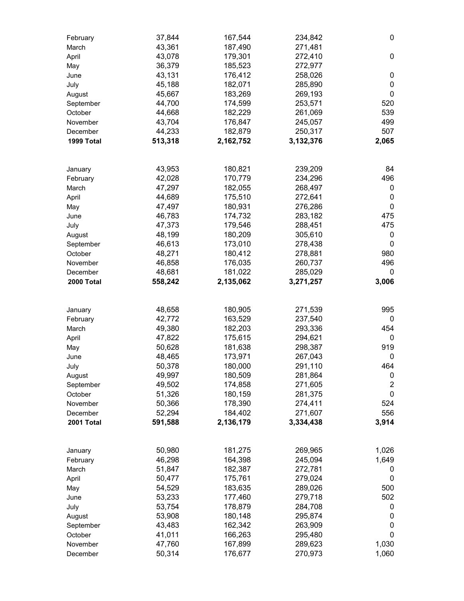| February   | 37,844  | 167,544   | 234,842   | 0              |
|------------|---------|-----------|-----------|----------------|
| March      | 43,361  | 187,490   | 271,481   |                |
| April      | 43,078  | 179,301   | 272,410   | $\pmb{0}$      |
| May        | 36,379  | 185,523   | 272,977   |                |
| June       | 43,131  | 176,412   | 258,026   | 0              |
| July       | 45,188  | 182,071   | 285,890   | 0              |
| August     | 45,667  | 183,269   | 269,193   | 0              |
| September  | 44,700  | 174,599   | 253,571   | 520            |
| October    | 44,668  | 182,229   | 261,069   | 539            |
| November   | 43,704  | 176,847   | 245,057   | 499            |
| December   | 44,233  | 182,879   | 250,317   | 507            |
| 1999 Total | 513,318 | 2,162,752 | 3,132,376 | 2,065          |
|            |         |           |           |                |
|            |         |           |           |                |
| January    | 43,953  | 180,821   | 239,209   | 84             |
| February   | 42,028  | 170,779   | 234,296   | 496            |
| March      | 47,297  | 182,055   | 268,497   | 0              |
| April      | 44,689  | 175,510   | 272,641   | 0              |
| May        | 47,497  | 180,931   | 276,286   | 0              |
| June       | 46,783  | 174,732   | 283,182   | 475            |
| July       | 47,373  | 179,546   | 288,451   | 475            |
| August     | 48,199  | 180,209   | 305,610   | 0              |
| September  | 46,613  | 173,010   | 278,438   | 0              |
| October    | 48,271  | 180,412   | 278,881   | 980            |
| November   | 46,858  | 176,035   | 260,737   | 496            |
| December   | 48,681  | 181,022   | 285,029   | 0              |
| 2000 Total | 558,242 | 2,135,062 | 3,271,257 | 3,006          |
|            |         |           |           |                |
| January    | 48,658  | 180,905   | 271,539   | 995            |
| February   | 42,772  | 163,529   | 237,540   | 0              |
| March      | 49,380  | 182,203   | 293,336   | 454            |
| April      | 47,822  | 175,615   | 294,621   | 0              |
| May        | 50,628  | 181,638   | 298,387   | 919            |
| June       | 48,465  | 173,971   | 267,043   | 0              |
| July       | 50,378  | 180,000   | 291,110   | 464            |
| August     | 49,997  | 180,509   | 281,864   | 0              |
| September  | 49,502  | 174,858   | 271,605   | $\overline{c}$ |
| October    | 51,326  | 180,159   | 281,375   | $\pmb{0}$      |
| November   | 50,366  | 178,390   | 274,411   | 524            |
| December   | 52,294  | 184,402   | 271,607   | 556            |
| 2001 Total | 591,588 | 2,136,179 | 3,334,438 | 3,914          |
|            |         |           |           |                |
| January    | 50,980  | 181,275   | 269,965   | 1,026          |
| February   | 46,298  | 164,398   | 245,094   | 1,649          |
|            |         |           | 272,781   |                |
| March      | 51,847  | 182,387   |           | 0              |
| April      | 50,477  | 175,761   | 279,024   | 0              |
| May        | 54,529  | 183,635   | 289,026   | 500            |
| June       | 53,233  | 177,460   | 279,718   | 502            |
| July       | 53,754  | 178,879   | 284,708   | 0              |
| August     | 53,908  | 180,148   | 295,874   | 0              |
| September  | 43,483  | 162,342   | 263,909   | 0              |
| October    | 41,011  | 166,263   | 295,480   | 0              |
| November   | 47,760  | 167,899   | 289,623   | 1,030          |
| December   | 50,314  | 176,677   | 270,973   | 1,060          |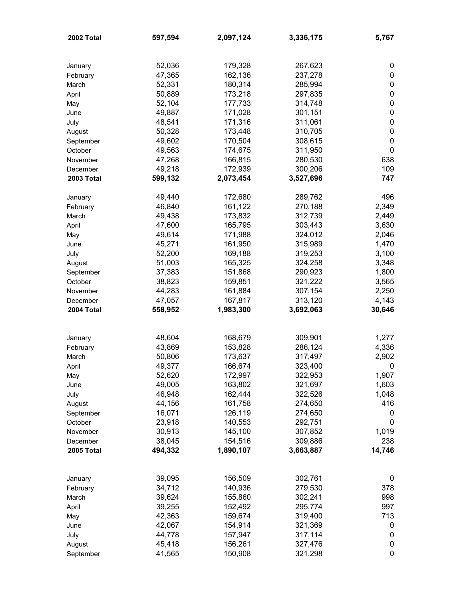| 2002 Total | 597,594 | 2,097,124 | 3,336,175 | 5,767            |
|------------|---------|-----------|-----------|------------------|
|            |         |           |           |                  |
| January    | 52,036  | 179,328   | 267,623   | 0                |
| February   | 47,365  | 162,136   | 237,278   | 0                |
| March      | 52,331  | 180,314   | 285,994   | $\pmb{0}$        |
| April      | 50,889  | 173,218   | 297,835   | $\pmb{0}$        |
| May        | 52,104  | 177,733   | 314,748   | $\pmb{0}$        |
| June       | 49,887  | 171,028   | 301,151   | $\pmb{0}$        |
| July       | 48,541  | 171,316   | 311,061   | $\pmb{0}$        |
| August     | 50,328  | 173,448   | 310,705   | $\boldsymbol{0}$ |
| September  | 49,602  | 170,504   | 308,615   | $\boldsymbol{0}$ |
| October    | 49,563  | 174,675   | 311,950   | $\mathbf 0$      |
| November   | 47,268  | 166,815   | 280,530   | 638              |
| December   | 49,218  | 172,939   | 300,206   | 109              |
| 2003 Total | 599,132 | 2,073,454 | 3,527,696 | 747              |
|            |         |           |           |                  |
| January    | 49,440  | 172,680   | 289,762   | 496              |
| February   | 46,840  | 161,122   | 270,188   | 2,349            |
| March      | 49,438  | 173,832   | 312,739   | 2,449            |
| April      | 47,600  | 165,795   | 303,443   | 3,630            |
| May        | 49,614  | 171,988   | 324,012   | 2,046            |
| June       | 45,271  | 161,950   | 315,989   | 1,470            |
| July       | 52,200  | 169,188   | 319,253   | 3,100            |
| August     | 51,003  | 165,325   | 324,258   | 3,348            |
| September  | 37,383  | 151,868   | 290,923   | 1,800            |
| October    | 38,823  | 159,851   | 321,222   | 3,565            |
| November   | 44,283  | 161,884   | 307,154   | 2,250            |
| December   | 47,057  | 167,817   | 313,120   | 4,143            |
| 2004 Total | 558,952 | 1,983,300 | 3,692,063 | 30,646           |
|            |         |           |           |                  |
| January    | 48,604  | 168,679   | 309,901   | 1,277            |
| February   | 43,869  | 153,828   | 286,124   | 4,336            |
| March      | 50,806  | 173,637   | 317,497   | 2,902            |
| April      | 49,377  | 166,674   | 323,400   | 0                |
| May        | 52,620  | 172,997   | 322,953   | 1,907            |
| June       | 49,005  | 163,802   | 321,697   | 1,603            |
| July       | 46,948  | 162,444   | 322,526   | 1,048            |
| August     | 44,156  | 161,758   | 274,650   | 416              |
| September  | 16,071  | 126,119   | 274,650   | 0                |
| October    | 23,918  | 140,553   | 292,751   | $\pmb{0}$        |
| November   | 30,913  | 145,100   | 307,852   | 1,019            |
| December   | 38,045  | 154,516   | 309,886   | 238              |
| 2005 Total | 494,332 | 1,890,107 | 3,663,887 | 14,746           |
|            |         |           |           |                  |
| January    | 39,095  | 156,509   | 302,761   | 0                |
| February   | 34,712  | 140,936   | 279,530   | 378              |
| March      | 39,624  | 155,860   | 302,241   | 998              |
| April      | 39,255  | 152,492   | 295,774   | 997              |
| May        | 42,363  | 159,674   | 319,400   | 713              |
| June       | 42,067  | 154,914   | 321,369   | 0                |
| July       | 44,778  | 157,947   | 317,114   | 0                |
| August     | 45,418  | 156,261   | 327,476   | 0                |
| September  | 41,565  | 150,908   | 321,298   | 0                |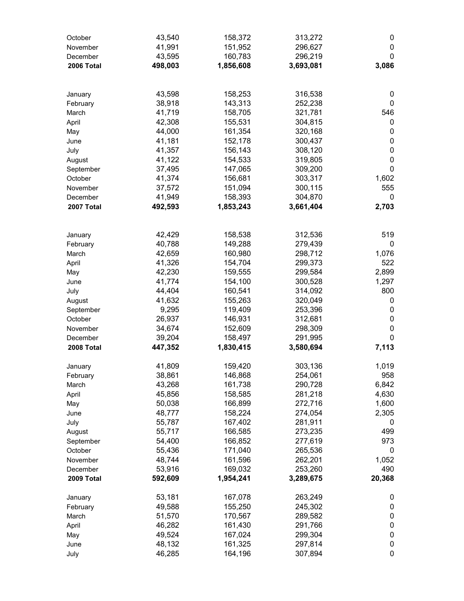| October    | 43,540  | 158,372   | 313,272   | 0           |
|------------|---------|-----------|-----------|-------------|
| November   | 41,991  | 151,952   | 296,627   | $\pmb{0}$   |
| December   | 43,595  | 160,783   | 296,219   | 0           |
| 2006 Total | 498,003 | 1,856,608 | 3,693,081 | 3,086       |
|            |         |           |           |             |
|            |         |           |           |             |
| January    | 43,598  | 158,253   | 316,538   | 0           |
| February   | 38,918  | 143,313   | 252,238   | 0           |
| March      | 41,719  | 158,705   | 321,781   | 546         |
| April      | 42,308  | 155,531   | 304,815   | 0           |
| May        | 44,000  | 161,354   | 320,168   | $\pmb{0}$   |
| June       | 41,181  | 152,178   | 300,437   | $\pmb{0}$   |
| July       | 41,357  | 156,143   | 308,120   | $\pmb{0}$   |
| August     | 41,122  | 154,533   | 319,805   | $\pmb{0}$   |
| September  | 37,495  | 147,065   | 309,200   | $\mathbf 0$ |
| October    | 41,374  | 156,681   | 303,317   | 1,602       |
| November   | 37,572  | 151,094   | 300,115   | 555         |
| December   | 41,949  | 158,393   | 304,870   | 0           |
| 2007 Total | 492,593 | 1,853,243 | 3,661,404 | 2,703       |
|            |         |           |           |             |
|            |         |           |           |             |
| January    | 42,429  | 158,538   | 312,536   | 519         |
| February   | 40,788  | 149,288   | 279,439   | 0           |
| March      | 42,659  | 160,980   | 298,712   | 1,076       |
| April      | 41,326  | 154,704   | 299,373   | 522         |
| May        | 42,230  | 159,555   | 299,584   | 2,899       |
| June       | 41,774  | 154,100   | 300,528   | 1,297       |
| July       | 44,404  | 160,541   | 314,092   | 800         |
| August     | 41,632  | 155,263   | 320,049   | 0           |
| September  | 9,295   | 119,409   | 253,396   | $\pmb{0}$   |
| October    | 26,937  | 146,931   | 312,681   | $\pmb{0}$   |
| November   | 34,674  | 152,609   | 298,309   | $\mathbf 0$ |
| December   | 39,204  | 158,497   | 291,995   | $\mathbf 0$ |
| 2008 Total | 447,352 | 1,830,415 | 3,580,694 | 7,113       |
|            |         |           |           |             |
| January    | 41,809  | 159,420   | 303,136   | 1,019       |
| February   | 38,861  | 146,868   | 254,061   | 958         |
| March      | 43,268  | 161,738   | 290,728   | 6,842       |
| April      | 45,856  | 158,585   | 281,218   | 4,630       |
| May        | 50,038  | 166,899   | 272,716   | 1,600       |
| June       | 48,777  | 158,224   | 274,054   | 2,305       |
| July       | 55,787  | 167,402   | 281,911   | 0           |
| August     | 55,717  | 166,585   | 273,235   | 499         |
| September  | 54,400  | 166,852   | 277,619   | 973         |
| October    | 55,436  | 171,040   | 265,536   | 0           |
| November   | 48,744  | 161,596   | 262,201   | 1,052       |
| December   | 53,916  | 169,032   | 253,260   | 490         |
| 2009 Total | 592,609 | 1,954,241 | 3,289,675 | 20,368      |
|            |         |           |           |             |
| January    | 53,181  | 167,078   | 263,249   | 0           |
| February   | 49,588  | 155,250   | 245,302   | 0           |
| March      | 51,570  | 170,567   | 289,582   | $\pmb{0}$   |
| April      | 46,282  | 161,430   | 291,766   | $\pmb{0}$   |
| May        | 49,524  | 167,024   | 299,304   | $\pmb{0}$   |
| June       | 48,132  | 161,325   | 297,814   | $\pmb{0}$   |
| July       | 46,285  | 164,196   | 307,894   | 0           |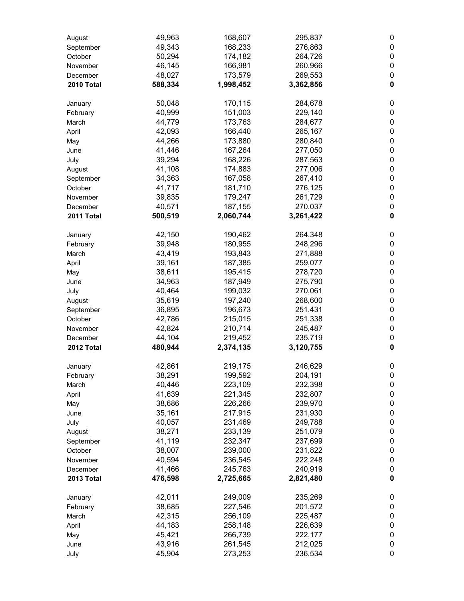| August     | 49,963  | 168,607   | 295,837   | 0           |
|------------|---------|-----------|-----------|-------------|
| September  | 49,343  | 168,233   | 276,863   | 0           |
| October    | 50,294  | 174,182   | 264,726   | 0           |
| November   | 46,145  | 166,981   | 260,966   | 0           |
| December   | 48,027  | 173,579   | 269,553   | 0           |
| 2010 Total | 588,334 | 1,998,452 | 3,362,856 | $\mathbf 0$ |
| January    | 50,048  | 170,115   | 284,678   | 0           |
| February   | 40,999  | 151,003   | 229,140   | 0           |
| March      | 44,779  | 173,763   | 284,677   | 0           |
| April      | 42,093  | 166,440   | 265,167   | 0           |
| May        | 44,266  | 173,880   | 280,840   | 0           |
| June       | 41,446  | 167,264   | 277,050   | 0           |
| July       | 39,294  | 168,226   | 287,563   | 0           |
| August     | 41,108  | 174,883   | 277,006   | 0           |
| September  | 34,363  | 167,058   | 267,410   | 0           |
| October    | 41,717  | 181,710   | 276,125   | 0           |
| November   | 39,835  | 179,247   | 261,729   | 0           |
| December   | 40,571  | 187,155   | 270,037   | 0           |
| 2011 Total | 500,519 | 2,060,744 | 3,261,422 | $\mathbf 0$ |
| January    | 42,150  | 190,462   | 264,348   | 0           |
| February   | 39,948  | 180,955   | 248,296   | 0           |
| March      | 43,419  | 193,843   | 271,888   | 0           |
| April      | 39,161  | 187,385   | 259,077   | 0           |
| May        | 38,611  | 195,415   | 278,720   | 0           |
| June       | 34,963  | 187,949   | 275,790   | 0           |
| July       | 40,464  | 199,032   | 270,061   | 0           |
| August     | 35,619  | 197,240   | 268,600   | 0           |
| September  | 36,895  | 196,673   | 251,431   | 0           |
| October    | 42,786  | 215,015   | 251,338   | 0           |
| November   | 42,824  | 210,714   | 245,487   | 0           |
| December   | 44,104  | 219,452   | 235,719   | 0           |
| 2012 Total | 480,944 | 2,374,135 | 3,120,755 | $\pmb{0}$   |
| January    | 42,861  | 219,175   | 246,629   | 0           |
| February   | 38,291  | 199,592   | 204,191   | 0           |
| March      | 40,446  | 223,109   | 232,398   | 0           |
| April      | 41,639  | 221,345   | 232,807   | $\pmb{0}$   |
| May        | 38,686  | 226,266   | 239,970   | 0           |
| June       | 35,161  | 217,915   | 231,930   | 0           |
| July       | 40,057  | 231,469   | 249,788   | 0           |
| August     | 38,271  | 233,139   | 251,079   | 0           |
| September  | 41,119  | 232,347   | 237,699   | 0           |
| October    | 38,007  | 239,000   | 231,822   | 0           |
| November   | 40,594  | 236,545   | 222,248   | 0           |
| December   | 41,466  | 245,763   | 240,919   | 0           |
| 2013 Total | 476,598 | 2,725,665 | 2,821,480 | $\pmb{0}$   |
| January    | 42,011  | 249,009   | 235,269   | 0           |
| February   | 38,685  | 227,546   | 201,572   | 0           |
| March      | 42,315  | 256,109   | 225,487   | 0           |
| April      | 44,183  | 258,148   | 226,639   | 0           |
| May        | 45,421  | 266,739   | 222,177   | 0           |
| June       | 43,916  | 261,545   | 212,025   | 0           |
| July       | 45,904  | 273,253   | 236,534   | 0           |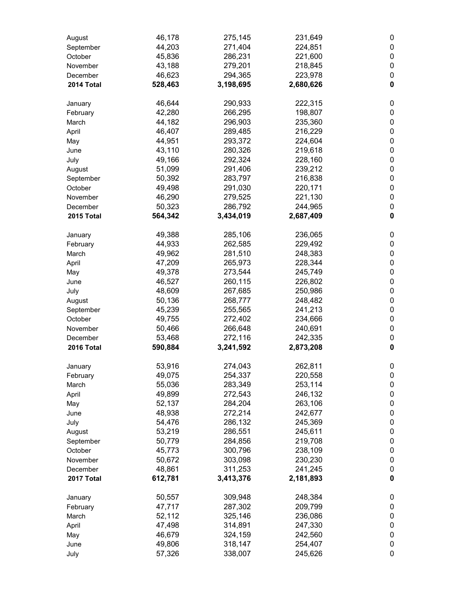| August     | 46,178  | 275,145   | 231,649   | 0           |
|------------|---------|-----------|-----------|-------------|
| September  | 44,203  | 271,404   | 224,851   | 0           |
| October    | 45,836  | 286,231   | 221,600   | 0           |
| November   | 43,188  | 279,201   | 218,845   | 0           |
| December   | 46,623  | 294,365   | 223,978   | 0           |
| 2014 Total | 528,463 | 3,198,695 | 2,680,626 | $\mathbf 0$ |
| January    | 46,644  | 290,933   | 222,315   | 0           |
| February   | 42,280  | 266,295   | 198,807   | 0           |
| March      | 44,182  | 296,903   | 235,360   | 0           |
| April      | 46,407  | 289,485   | 216,229   | 0           |
| May        | 44,951  | 293,372   | 224,604   | 0           |
| June       | 43,110  | 280,326   | 219,618   | 0           |
| July       | 49,166  | 292,324   | 228,160   | 0           |
| August     | 51,099  | 291,406   | 239,212   | 0           |
| September  | 50,392  | 283,797   | 216,838   | 0           |
| October    | 49,498  | 291,030   | 220,171   | 0           |
| November   | 46,290  | 279,525   | 221,130   | 0           |
| December   | 50,323  | 286,792   | 244,965   | 0           |
| 2015 Total | 564,342 | 3,434,019 | 2,687,409 | $\mathbf 0$ |
| January    | 49,388  | 285,106   | 236,065   | 0           |
| February   | 44,933  | 262,585   | 229,492   | 0           |
| March      | 49,962  | 281,510   | 248,383   | 0           |
| April      | 47,209  | 265,973   | 228,344   | 0           |
| May        | 49,378  | 273,544   | 245,749   | 0           |
| June       | 46,527  | 260,115   | 226,802   | 0           |
| July       | 48,609  | 267,685   | 250,986   | 0           |
| August     | 50,136  | 268,777   | 248,482   | 0           |
| September  | 45,239  | 255,565   | 241,213   | 0           |
| October    | 49,755  | 272,402   | 234,666   | 0           |
| November   | 50,466  | 266,648   | 240,691   | 0           |
| December   | 53,468  | 272,116   | 242,335   | 0           |
| 2016 Total | 590,884 | 3,241,592 | 2,873,208 | $\pmb{0}$   |
| January    | 53,916  | 274,043   | 262,811   | 0           |
| February   | 49,075  | 254,337   | 220,558   | 0           |
| March      | 55,036  | 283,349   | 253,114   | 0           |
| April      | 49,899  | 272,543   | 246,132   | $\pmb{0}$   |
| May        | 52,137  | 284,204   | 263,106   | 0           |
| June       | 48,938  | 272,214   | 242,677   | 0           |
| July       | 54,476  | 286,132   | 245,369   | 0           |
| August     | 53,219  | 286,551   | 245,611   | 0           |
| September  | 50,779  | 284,856   | 219,708   | 0           |
| October    | 45,773  | 300,796   | 238,109   | 0           |
| November   | 50,672  | 303,098   | 230,230   | 0           |
| December   | 48,861  | 311,253   | 241,245   | 0           |
| 2017 Total | 612,781 | 3,413,376 | 2,181,893 | $\pmb{0}$   |
| January    | 50,557  | 309,948   | 248,384   | 0           |
| February   | 47,717  | 287,302   | 209,799   | 0           |
| March      | 52,112  | 325,146   | 236,086   | 0           |
| April      | 47,498  | 314,891   | 247,330   | 0           |
| May        | 46,679  | 324,159   | 242,560   | 0           |
| June       | 49,806  | 318,147   | 254,407   | 0           |
| July       | 57,326  | 338,007   | 245,626   | 0           |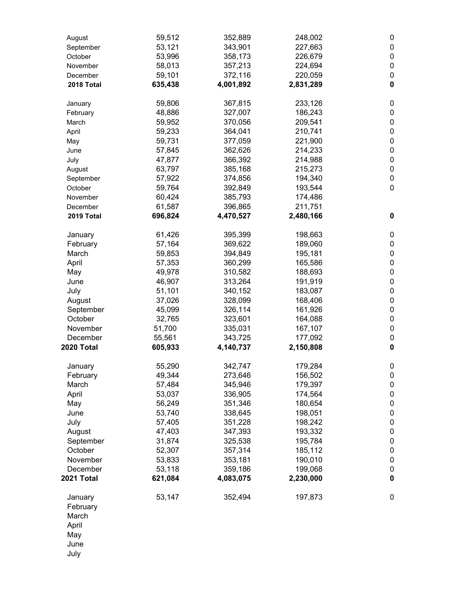| August     | 59,512  | 352,889   | 248,002   | $\pmb{0}$        |
|------------|---------|-----------|-----------|------------------|
| September  | 53,121  | 343,901   | 227,663   | $\pmb{0}$        |
| October    | 53,996  | 358,173   | 226,679   | $\pmb{0}$        |
| November   | 58,013  | 357,213   | 224,694   | $\pmb{0}$        |
| December   | 59,101  | 372,116   | 220,059   | $\pmb{0}$        |
| 2018 Total | 635,438 | 4,001,892 | 2,831,289 | $\mathbf 0$      |
| January    | 59,806  | 367,815   | 233,126   | $\boldsymbol{0}$ |
| February   | 48,886  | 327,007   | 186,243   | $\pmb{0}$        |
| March      | 59,952  | 370,056   | 209,541   | $\pmb{0}$        |
| April      | 59,233  | 364,041   | 210,741   | $\pmb{0}$        |
| May        | 59,731  | 377,059   | 221,900   | $\pmb{0}$        |
| June       | 57,845  | 362,626   | 214,233   | $\pmb{0}$        |
| July       | 47,877  | 366,392   | 214,988   | $\pmb{0}$        |
| August     | 63,797  | 385,168   | 215,273   | $\pmb{0}$        |
| September  | 57,922  | 374,856   | 194,340   | $\pmb{0}$        |
| October    | 59,764  | 392,849   | 193,544   | $\boldsymbol{0}$ |
| November   | 60,424  | 385,793   | 174,486   |                  |
| December   | 61,587  | 396,865   | 211,751   |                  |
| 2019 Total | 696,824 | 4,470,527 | 2,480,166 | $\mathbf 0$      |
| January    | 61,426  | 395,399   | 198,663   | 0                |
| February   | 57,164  | 369,622   | 189,060   | $\pmb{0}$        |
| March      | 59,853  | 394,849   | 195,181   | $\pmb{0}$        |
| April      | 57,353  | 360,299   | 165,586   | $\pmb{0}$        |
| May        | 49,978  | 310,582   | 188,693   | $\pmb{0}$        |
| June       | 46,907  | 313,264   | 191,919   | $\pmb{0}$        |
| July       | 51,101  | 340,152   | 183,087   | $\pmb{0}$        |
| August     | 37,026  | 328,099   | 168,406   | $\pmb{0}$        |
| September  | 45,099  | 326,114   | 161,926   | $\pmb{0}$        |
| October    | 32,765  | 323,601   | 164,088   | $\pmb{0}$        |
| November   | 51,700  | 335,031   | 167,107   | $\pmb{0}$        |
| December   | 55,561  | 343,725   | 177,092   | $\pmb{0}$        |
| 2020 Total | 605,933 | 4,140,737 | 2,150,808 | $\pmb{0}$        |
| January    | 55,290  | 342,747   | 179,284   | $\pmb{0}$        |
| February   | 49,344  | 273,646   | 156,502   | $\pmb{0}$        |
| March      | 57,484  | 345,946   | 179,397   | $\boldsymbol{0}$ |
| April      | 53,037  | 336,905   | 174,564   | $\pmb{0}$        |
| May        | 56,249  | 351,346   | 180,654   | $\pmb{0}$        |
| June       | 53,740  | 338,645   | 198,051   | $\pmb{0}$        |
| July       | 57,405  | 351,228   | 198,242   | $\pmb{0}$        |
| August     | 47,403  | 347,393   | 193,332   | $\pmb{0}$        |
| September  | 31,874  | 325,538   | 195,784   | $\pmb{0}$        |
| October    | 52,307  | 357,314   | 185,112   | $\pmb{0}$        |
| November   | 53,833  | 353,181   | 190,010   | $\pmb{0}$        |
| December   | 53,118  | 359,186   | 199,068   | $\pmb{0}$        |
| 2021 Total | 621,084 | 4,083,075 | 2,230,000 | $\pmb{0}$        |
| January    | 53,147  | 352,494   | 197,873   | $\pmb{0}$        |
| February   |         |           |           |                  |
| March      |         |           |           |                  |
| April      |         |           |           |                  |
| May        |         |           |           |                  |
| June       |         |           |           |                  |
| July       |         |           |           |                  |